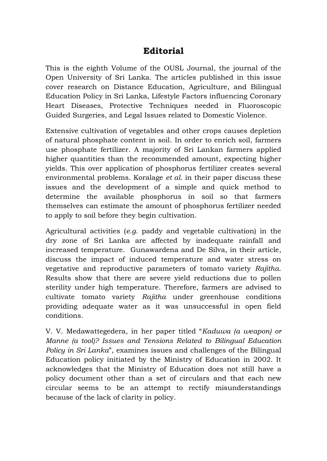## **Editorial**

This is the eighth Volume of the OUSL Journal, the journal of the Open University of Sri Lanka. The articles published in this issue cover research on Distance Education, Agriculture, and Bilingual Education Policy in Sri Lanka, Lifestyle Factors influencing Coronary Heart Diseases, Protective Techniques needed in Fluoroscopic Guided Surgeries, and Legal Issues related to Domestic Violence.

Extensive cultivation of vegetables and other crops causes depletion of natural phosphate content in soil. In order to enrich soil, farmers use phosphate fertilizer. A majority of Sri Lankan farmers applied higher quantities than the recommended amount, expecting higher yields. This over application of phosphorus fertilizer creates several environmental problems. Koralage *et al*. in their paper discuss these issues and the development of a simple and quick method to determine the available phosphorus in soil so that farmers themselves can estimate the amount of phosphorus fertilizer needed to apply to soil before they begin cultivation.

Agricultural activities (*e.g*. paddy and vegetable cultivation) in the dry zone of Sri Lanka are affected by inadequate rainfall and increased temperature. Gunawardena and De Silva, in their article, discuss the impact of induced temperature and water stress on vegetative and reproductive parameters of tomato variety *Rajitha*. Results show that there are severe yield reductions due to pollen sterility under high temperature. Therefore, farmers are advised to cultivate tomato variety *Rajitha* under greenhouse conditions providing adequate water as it was unsuccessful in open field conditions.

V. V. Medawattegedera, in her paper titled "*Kaduwa (a weapon) or Manne (a tool)? Issues and Tensions Related to Bilingual Education Policy in Sri Lanka*", examines issues and challenges of the Bilingual Education policy initiated by the Ministry of Education in 2002. It acknowledges that the Ministry of Education does not still have a policy document other than a set of circulars and that each new circular seems to be an attempt to rectify misunderstandings because of the lack of clarity in policy.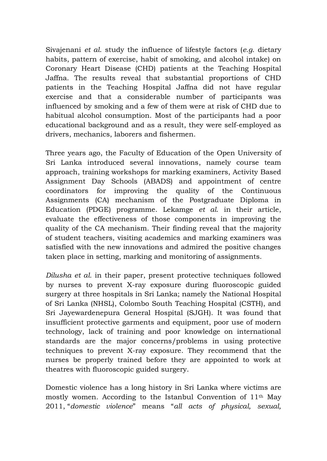Sivajenani *et al*. study the influence of lifestyle factors (*e.g*. dietary habits, pattern of exercise, habit of smoking, and alcohol intake) on Coronary Heart Disease (CHD) patients at the Teaching Hospital Jaffna. The results reveal that substantial proportions of CHD patients in the Teaching Hospital Jaffna did not have regular exercise and that a considerable number of participants was influenced by smoking and a few of them were at risk of CHD due to habitual alcohol consumption. Most of the participants had a poor educational background and as a result, they were self-employed as drivers, mechanics, laborers and fishermen.

Three years ago, the Faculty of Education of the Open University of Sri Lanka introduced several innovations, namely course team approach, training workshops for marking examiners, Activity Based Assignment Day Schools (ABADS) and appointment of centre coordinators for improving the quality of the Continuous Assignments (CA) mechanism of the Postgraduate Diploma in Education (PDGE) programme. Lekamge *et al*. in their article, evaluate the effectiveness of those components in improving the quality of the CA mechanism. Their finding reveal that the majority of student teachers, visiting academics and marking examiners was satisfied with the new innovations and admired the positive changes taken place in setting, marking and monitoring of assignments.

*Dilusha et al.* in their paper, present protective techniques followed by nurses to prevent X-ray exposure during fluoroscopic guided surgery at three hospitals in Sri Lanka; namely the National Hospital of Sri Lanka (NHSL), Colombo South Teaching Hospital (CSTH), and Sri Jayewardenepura General Hospital (SJGH). It was found that insufficient protective garments and equipment, poor use of modern technology, lack of training and poor knowledge on international standards are the major concerns/problems in using protective techniques to prevent X-ray exposure. They recommend that the nurses be properly trained before they are appointed to work at theatres with fluoroscopic guided surgery.

Domestic violence has a long history in Sri Lanka where victims are mostly women. According to the Istanbul Convention of 11th May 2011, "*domestic violence*" means "*all acts of physical, sexual,*